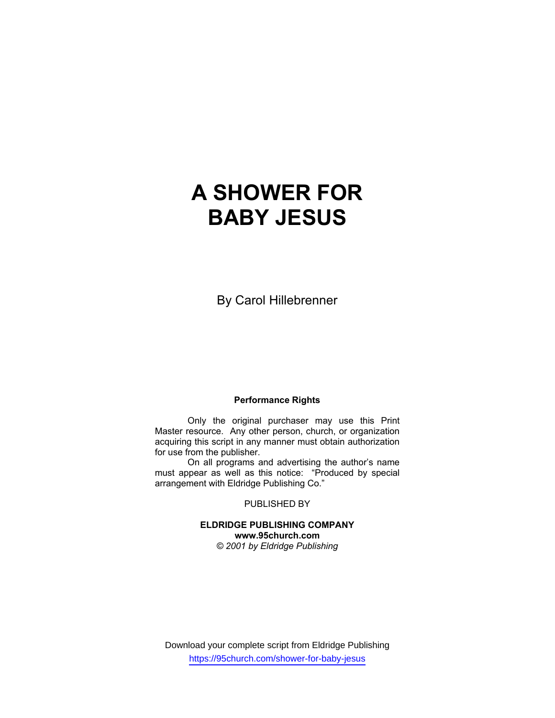# **A SHOWER FOR BABY JESUS**

By Carol Hillebrenner

#### **Performance Rights**

 Only the original purchaser may use this Print Master resource. Any other person, church, or organization acquiring this script in any manner must obtain authorization for use from the publisher.

 On all programs and advertising the author's name must appear as well as this notice: "Produced by special arrangement with Eldridge Publishing Co."

PUBLISHED BY

**ELDRIDGE PUBLISHING COMPANY www.95church.com**  *© 2001 by Eldridge Publishing*

Download your complete script from Eldridge Publishing https://95church.com/shower-for-baby-jesus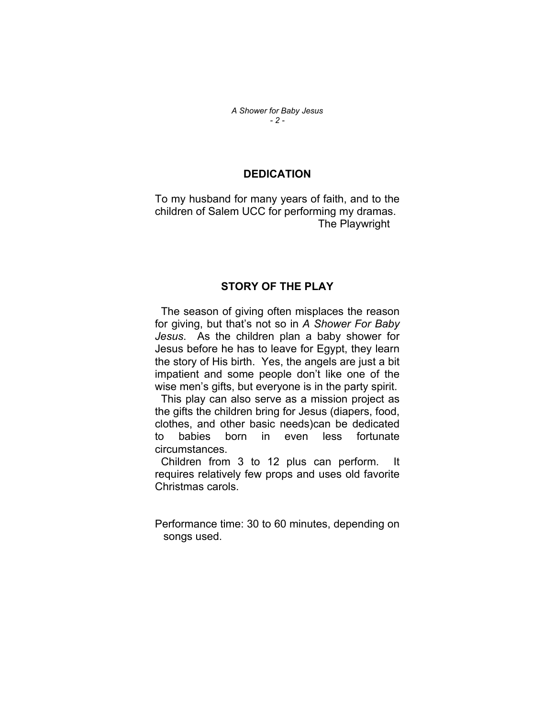#### *A Shower for Baby Jesus - 2 -*

#### **DEDICATION**

To my husband for many years of faith, and to the children of Salem UCC for performing my dramas. The Playwright

## **STORY OF THE PLAY**

 The season of giving often misplaces the reason for giving, but that's not so in *A Shower For Baby Jesus*. As the children plan a baby shower for Jesus before he has to leave for Egypt, they learn the story of His birth. Yes, the angels are just a bit impatient and some people don't like one of the wise men's gifts, but everyone is in the party spirit.

 This play can also serve as a mission project as the gifts the children bring for Jesus (diapers, food, clothes, and other basic needs)can be dedicated to babies born in even less fortunate circumstances.

 Children from 3 to 12 plus can perform. It requires relatively few props and uses old favorite Christmas carols.

Performance time: 30 to 60 minutes, depending on songs used.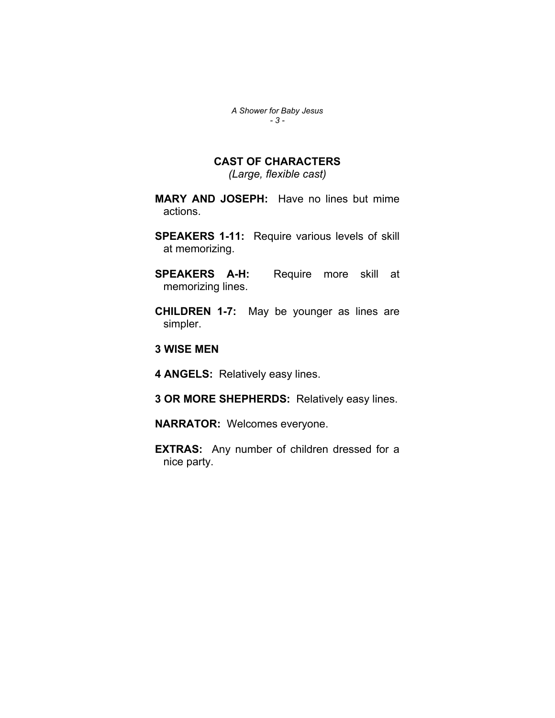*A Shower for Baby Jesus - 3 -* 

## **CAST OF CHARACTERS**

*(Large, flexible cast)* 

**MARY AND JOSEPH:** Have no lines but mime actions.

**SPEAKERS 1-11:** Require various levels of skill at memorizing.

**SPEAKERS A-H:** Require more skill at memorizing lines.

**CHILDREN 1-7:** May be younger as lines are simpler.

**3 WISE MEN**

**4 ANGELS:** Relatively easy lines.

**3 OR MORE SHEPHERDS:** Relatively easy lines.

**NARRATOR:** Welcomes everyone.

**EXTRAS:** Any number of children dressed for a nice party.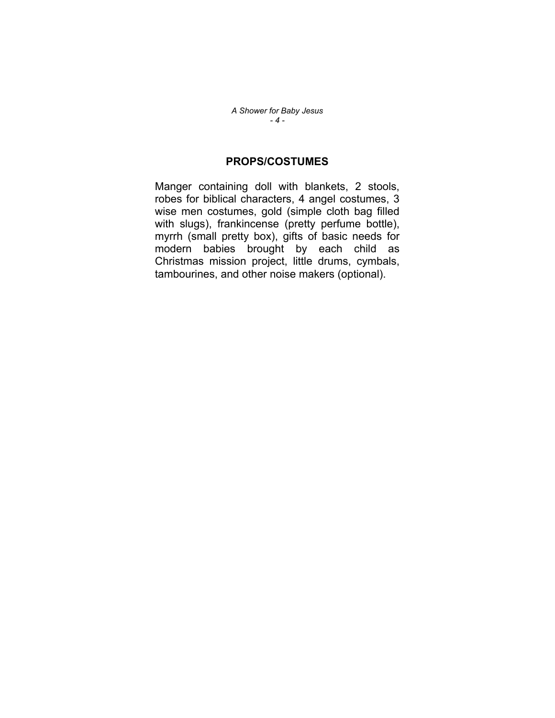*A Shower for Baby Jesus - 4 -* 

## **PROPS/COSTUMES**

Manger containing doll with blankets, 2 stools, robes for biblical characters, 4 angel costumes, 3 wise men costumes, gold (simple cloth bag filled with slugs), frankincense (pretty perfume bottle), myrrh (small pretty box), gifts of basic needs for modern babies brought by each child as Christmas mission project, little drums, cymbals, tambourines, and other noise makers (optional).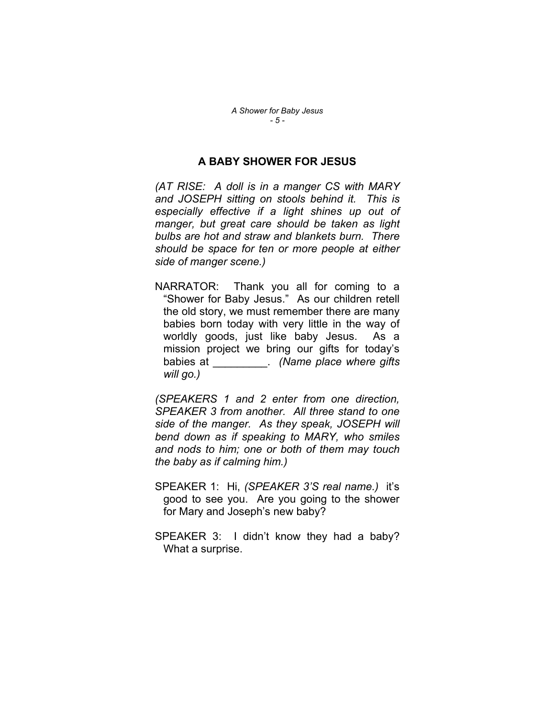### **A BABY SHOWER FOR JESUS**

*(AT RISE: A doll is in a manger CS with MARY and JOSEPH sitting on stools behind it. This is especially effective if a light shines up out of manger, but great care should be taken as light bulbs are hot and straw and blankets burn. There should be space for ten or more people at either side of manger scene.)* 

NARRATOR: Thank you all for coming to a "Shower for Baby Jesus." As our children retell the old story, we must remember there are many babies born today with very little in the way of worldly goods, just like baby Jesus. As a mission project we bring our gifts for today's babies at \_\_\_\_\_\_\_\_\_. *(Name place where gifts will go.)*

*(SPEAKERS 1 and 2 enter from one direction, SPEAKER 3 from another. All three stand to one side of the manger. As they speak, JOSEPH will bend down as if speaking to MARY, who smiles and nods to him; one or both of them may touch the baby as if calming him.)* 

- SPEAKER 1: Hi, *(SPEAKER 3'S real name.)* it's good to see you. Are you going to the shower for Mary and Joseph's new baby?
- SPEAKER 3: I didn't know they had a baby? What a surprise.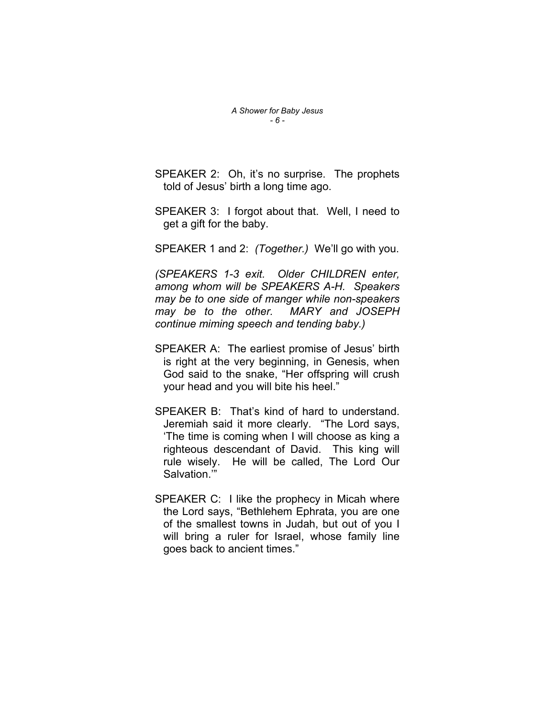SPEAKER 2: Oh, it's no surprise. The prophets told of Jesus' birth a long time ago.

SPEAKER 3: I forgot about that. Well, I need to get a gift for the baby.

SPEAKER 1 and 2: *(Together.)* We'll go with you.

*(SPEAKERS 1-3 exit. Older CHILDREN enter, among whom will be SPEAKERS A-H. Speakers may be to one side of manger while non-speakers may be to the other. MARY and JOSEPH continue miming speech and tending baby.)* 

- SPEAKER A: The earliest promise of Jesus' birth is right at the very beginning, in Genesis, when God said to the snake, "Her offspring will crush your head and you will bite his heel."
- SPEAKER B: That's kind of hard to understand. Jeremiah said it more clearly. "The Lord says, 'The time is coming when I will choose as king a righteous descendant of David. This king will rule wisely. He will be called, The Lord Our Salvation.'"
- SPEAKER C: I like the prophecy in Micah where the Lord says, "Bethlehem Ephrata, you are one of the smallest towns in Judah, but out of you I will bring a ruler for Israel, whose family line goes back to ancient times."